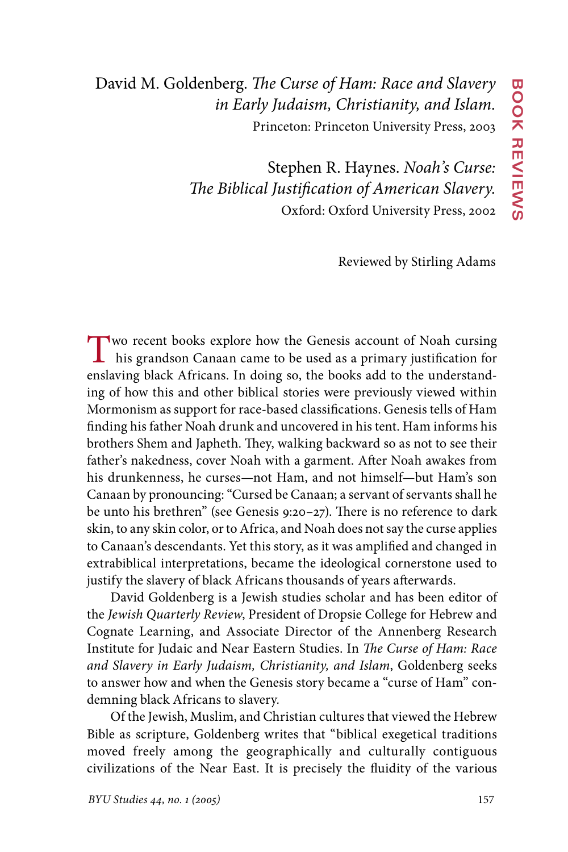David M. Goldenberg. *The Curse of Ham: Race and Slavery in Early Judaism, Christianity, and Islam.* Princeton: Princeton University Press, 2003

> Stephen R. Haynes. *Noah's Curse: The Biblical Justification of American Slavery.* Oxford: Oxford University Press, 2002

> > Reviewed by Stirling Adams

Two recent books explore how the Genesis account of Noah cursing his grandson Canaan came to be used as a primary justification for enslaving black Africans. In doing so, the books add to the understanding of how this and other biblical stories were previously viewed within Mormonism as support for race-based classifications. Genesis tells of Ham finding his father Noah drunk and uncovered in his tent. Ham informs his brothers Shem and Japheth. They, walking backward so as not to see their father's nakedness, cover Noah with a garment. After Noah awakes from his drunkenness, he curses—not Ham, and not himself—but Ham's son Canaan by pronouncing: "Cursed be Canaan; a servant of servants shall he be unto his brethren" (see Genesis 9:20–27). There is no reference to dark skin, to any skin color, or to Africa, and Noah does not say the curse applies to Canaan's descendants. Yet this story, as it was amplified and changed in extrabiblical interpretations, became the ideological cornerstone used to justify the slavery of black Africans thousands of years afterwards.

David Goldenberg is a Jewish studies scholar and has been editor of the *Jewish Quarterly Review*, President of Dropsie College for Hebrew and Cognate Learning, and Associate Director of the Annenberg Research Institute for Judaic and Near Eastern Studies. In *The Curse of Ham: Race and Slavery in Early Judaism, Christianity, and Islam*, Goldenberg seeks to answer how and when the Genesis story became a "curse of Ham" condemning black Africans to slavery*.*

Of the Jewish, Muslim, and Christian cultures that viewed the Hebrew Bible as scripture, Goldenberg writes that "biblical exegetical traditions moved freely among the geographically and culturally contiguous civilizations of the Near East. It is precisely the fluidity of the various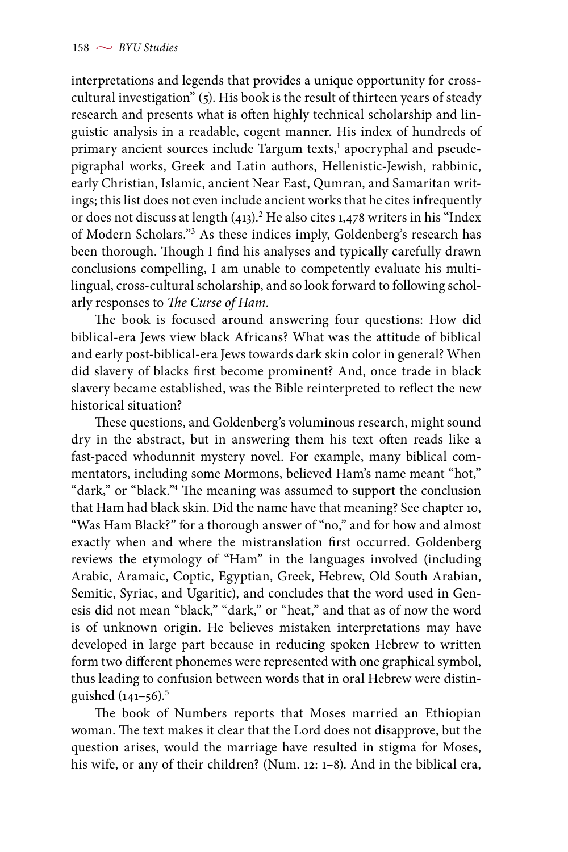interpretations and legends that provides a unique opportunity for crosscultural investigation" (5). His book is the result of thirteen years of steady research and presents what is often highly technical scholarship and linguistic analysis in a readable, cogent manner. His index of hundreds of primary ancient sources include Targum texts,<sup>1</sup> apocryphal and pseudepigraphal works, Greek and Latin authors, Hellenistic-Jewish, rabbinic, early Christian, Islamic, ancient Near East, Qumran, and Samaritan writings; this list does not even include ancient works that he cites infrequently or does not discuss at length (413).<sup>2</sup> He also cites 1,478 writers in his "Index of Modern Scholars."3 As these indices imply, Goldenberg's research has been thorough. Though I find his analyses and typically carefully drawn conclusions compelling, I am unable to competently evaluate his multilingual, cross-cultural scholarship, and so look forward to following scholarly responses to *The Curse of Ham.*

The book is focused around answering four questions: How did biblical-era Jews view black Africans? What was the attitude of biblical and early post-biblical-era Jews towards dark skin color in general? When did slavery of blacks first become prominent? And, once trade in black slavery became established, was the Bible reinterpreted to reflect the new historical situation?

These questions, and Goldenberg's voluminous research, might sound dry in the abstract, but in answering them his text often reads like a fast-paced whodunnit mystery novel. For example, many biblical commentators, including some Mormons, believed Ham's name meant "hot," "dark," or "black."4 The meaning was assumed to support the conclusion that Ham had black skin. Did the name have that meaning? See chapter 10, "Was Ham Black?" for a thorough answer of "no," and for how and almost exactly when and where the mistranslation first occurred. Goldenberg reviews the etymology of "Ham" in the languages involved (including Arabic, Aramaic, Coptic, Egyptian, Greek, Hebrew, Old South Arabian, Semitic, Syriac, and Ugaritic), and concludes that the word used in Genesis did not mean "black," "dark," or "heat," and that as of now the word is of unknown origin. He believes mistaken interpretations may have developed in large part because in reducing spoken Hebrew to written form two different phonemes were represented with one graphical symbol, thus leading to confusion between words that in oral Hebrew were distinguished  $(141-56)$ .<sup>5</sup>

The book of Numbers reports that Moses married an Ethiopian woman. The text makes it clear that the Lord does not disapprove, but the question arises, would the marriage have resulted in stigma for Moses, his wife, or any of their children? (Num. 12: 1–8). And in the biblical era,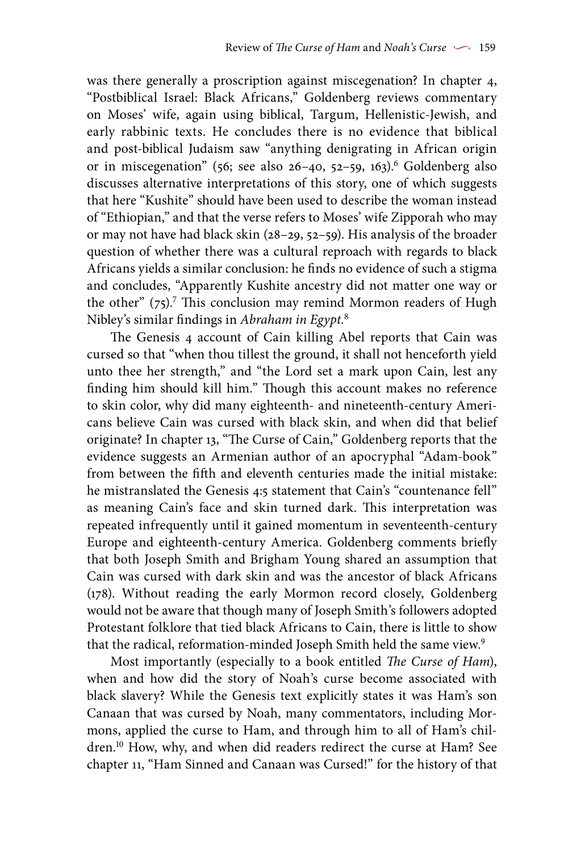was there generally a proscription against miscegenation? In chapter 4, "Postbiblical Israel: Black Africans," Goldenberg reviews commentary on Moses' wife, again using biblical, Targum, Hellenistic-Jewish, and early rabbinic texts. He concludes there is no evidence that biblical and post-biblical Judaism saw "anything denigrating in African origin or in miscegenation" (56; see also 26-40, 52-59, 163).<sup>6</sup> Goldenberg also discusses alternative interpretations of this story, one of which suggests that here "Kushite" should have been used to describe the woman instead of "Ethiopian," and that the verse refers to Moses' wife Zipporah who may or may not have had black skin (28–29, 52–59). His analysis of the broader question of whether there was a cultural reproach with regards to black Africans yields a similar conclusion: he finds no evidence of such a stigma and concludes, "Apparently Kushite ancestry did not matter one way or the other" (75).<sup>7</sup> This conclusion may remind Mormon readers of Hugh Nibley's similar findings in *Abraham in Egypt.*<sup>8</sup>

The Genesis 4 account of Cain killing Abel reports that Cain was cursed so that "when thou tillest the ground, it shall not henceforth yield unto thee her strength," and "the Lord set a mark upon Cain, lest any finding him should kill him." Though this account makes no reference to skin color, why did many eighteenth- and nineteenth-century Americans believe Cain was cursed with black skin, and when did that belief originate? In chapter 13, "The Curse of Cain," Goldenberg reports that the evidence suggests an Armenian author of an apocryphal "Adam-book" from between the fifth and eleventh centuries made the initial mistake: he mistranslated the Genesis 4:5 statement that Cain's "countenance fell" as meaning Cain's face and skin turned dark. This interpretation was repeated infrequently until it gained momentum in seventeenth-century Europe and eighteenth-century America. Goldenberg comments briefly that both Joseph Smith and Brigham Young shared an assumption that Cain was cursed with dark skin and was the ancestor of black Africans (178). Without reading the early Mormon record closely, Goldenberg would not be aware that though many of Joseph Smith's followers adopted Protestant folklore that tied black Africans to Cain, there is little to show that the radical, reformation-minded Joseph Smith held the same view.9

Most importantly (especially to a book entitled *The Curse of Ham*), when and how did the story of Noah's curse become associated with black slavery? While the Genesis text explicitly states it was Ham's son Canaan that was cursed by Noah, many commentators, including Mormons, applied the curse to Ham, and through him to all of Ham's children.<sup>10</sup> How, why, and when did readers redirect the curse at Ham? See chapter 11, "Ham Sinned and Canaan was Cursed!" for the history of that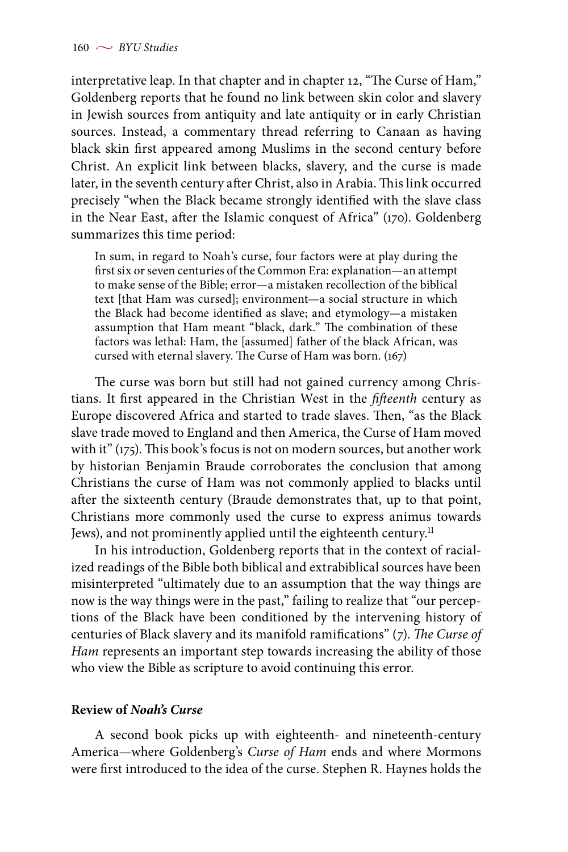interpretative leap. In that chapter and in chapter 12, "The Curse of Ham," Goldenberg reports that he found no link between skin color and slavery in Jewish sources from antiquity and late antiquity or in early Christian sources. Instead, a commentary thread referring to Canaan as having black skin first appeared among Muslims in the second century before Christ. An explicit link between blacks, slavery, and the curse is made later, in the seventh century after Christ, also in Arabia. This link occurred precisely "when the Black became strongly identified with the slave class in the Near East, after the Islamic conquest of Africa" (170). Goldenberg summarizes this time period:

In sum, in regard to Noah's curse, four factors were at play during the first six or seven centuries of the Common Era: explanation—an attempt to make sense of the Bible; error—a mistaken recollection of the biblical text [that Ham was cursed]; environment—a social structure in which the Black had become identified as slave; and etymology—a mistaken assumption that Ham meant "black, dark." The combination of these factors was lethal: Ham, the [assumed] father of the black African, was cursed with eternal slavery. The Curse of Ham was born. (167)

The curse was born but still had not gained currency among Christians. It first appeared in the Christian West in the *fifteenth* century as Europe discovered Africa and started to trade slaves. Then, "as the Black slave trade moved to England and then America, the Curse of Ham moved with it" (175). This book's focus is not on modern sources, but another work by historian Benjamin Braude corroborates the conclusion that among Christians the curse of Ham was not commonly applied to blacks until after the sixteenth century (Braude demonstrates that, up to that point, Christians more commonly used the curse to express animus towards Jews), and not prominently applied until the eighteenth century.<sup>11</sup>

In his introduction, Goldenberg reports that in the context of racialized readings of the Bible both biblical and extrabiblical sources have been misinterpreted "ultimately due to an assumption that the way things are now is the way things were in the past," failing to realize that "our perceptions of the Black have been conditioned by the intervening history of centuries of Black slavery and its manifold ramifications" (7). *The Curse of*  Ham represents an important step towards increasing the ability of those who view the Bible as scripture to avoid continuing this error.

## **Review of** *Noah's Curse*

A second book picks up with eighteenth- and nineteenth-century America—where Goldenberg's *Curse of Ham* ends and where Mormons were first introduced to the idea of the curse. Stephen R. Haynes holds the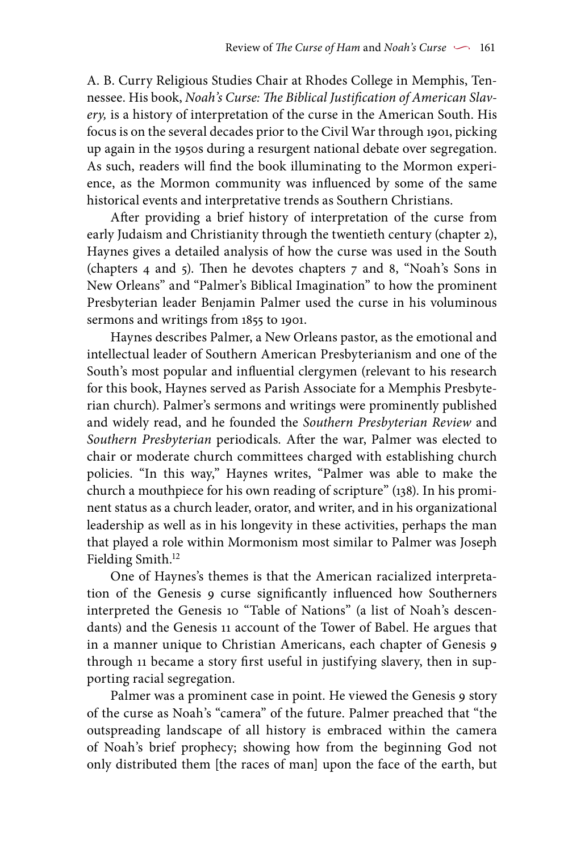A. B. Curry Religious Studies Chair at Rhodes College in Memphis, Tennessee. His book, *Noah's Curse: The Biblical Justification of American Slavery,* is a history of interpretation of the curse in the American South. His focus is on the several decades prior to the Civil War through 1901, picking up again in the 1950s during a resurgent national debate over segregation. As such, readers will find the book illuminating to the Mormon experience, as the Mormon community was influenced by some of the same historical events and interpretative trends as Southern Christians.

After providing a brief history of interpretation of the curse from early Judaism and Christianity through the twentieth century (chapter 2), Haynes gives a detailed analysis of how the curse was used in the South (chapters 4 and 5). Then he devotes chapters 7 and 8, "Noah's Sons in New Orleans" and "Palmer's Biblical Imagination" to how the prominent Presbyterian leader Benjamin Palmer used the curse in his voluminous sermons and writings from 1855 to 1901.

Haynes describes Palmer, a New Orleans pastor, as the emotional and intellectual leader of Southern American Presbyterianism and one of the South's most popular and influential clergymen (relevant to his research for this book, Haynes served as Parish Associate for a Memphis Presbyterian church). Palmer's sermons and writings were prominently published and widely read, and he founded the *Southern Presbyterian Review* and *Southern Presbyterian* periodicals*.* After the war, Palmer was elected to chair or moderate church committees charged with establishing church policies. "In this way," Haynes writes, "Palmer was able to make the church a mouthpiece for his own reading of scripture" (138). In his prominent status as a church leader, orator, and writer, and in his organizational leadership as well as in his longevity in these activities, perhaps the man that played a role within Mormonism most similar to Palmer was Joseph Fielding Smith.<sup>12</sup>

One of Haynes's themes is that the American racialized interpretation of the Genesis 9 curse significantly influenced how Southerners interpreted the Genesis 10 "Table of Nations" (a list of Noah's descendants) and the Genesis 11 account of the Tower of Babel. He argues that in a manner unique to Christian Americans, each chapter of Genesis 9 through 11 became a story first useful in justifying slavery, then in supporting racial segregation.

Palmer was a prominent case in point. He viewed the Genesis 9 story of the curse as Noah's "camera" of the future. Palmer preached that "the outspreading landscape of all history is embraced within the camera of Noah's brief prophecy; showing how from the beginning God not only distributed them [the races of man] upon the face of the earth, but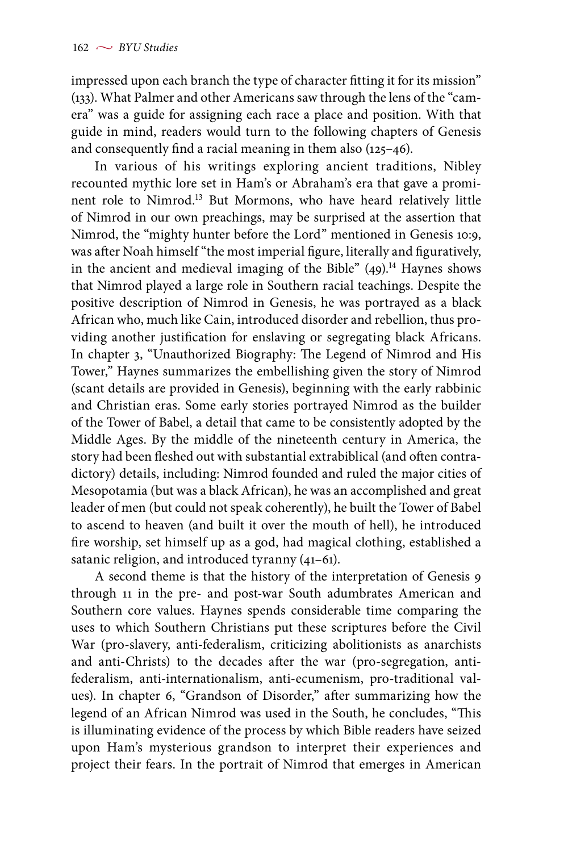impressed upon each branch the type of character fitting it for its mission" (133). What Palmer and other Americans saw through the lens of the "camera" was a guide for assigning each race a place and position. With that guide in mind, readers would turn to the following chapters of Genesis and consequently find a racial meaning in them also (125–46).

In various of his writings exploring ancient traditions, Nibley recounted mythic lore set in Ham's or Abraham's era that gave a prominent role to Nimrod.13 But Mormons, who have heard relatively little of Nimrod in our own preachings, may be surprised at the assertion that Nimrod, the "mighty hunter before the Lord" mentioned in Genesis 10:9, was after Noah himself "the most imperial figure, literally and figuratively, in the ancient and medieval imaging of the Bible"  $(49)$ .<sup>14</sup> Haynes shows that Nimrod played a large role in Southern racial teachings. Despite the positive description of Nimrod in Genesis, he was portrayed as a black African who, much like Cain, introduced disorder and rebellion, thus providing another justification for enslaving or segregating black Africans. In chapter 3, "Unauthorized Biography: The Legend of Nimrod and His Tower," Haynes summarizes the embellishing given the story of Nimrod (scant details are provided in Genesis), beginning with the early rabbinic and Christian eras. Some early stories portrayed Nimrod as the builder of the Tower of Babel, a detail that came to be consistently adopted by the Middle Ages. By the middle of the nineteenth century in America, the story had been fleshed out with substantial extrabiblical (and often contradictory) details, including: Nimrod founded and ruled the major cities of Mesopotamia (but was a black African), he was an accomplished and great leader of men (but could not speak coherently), he built the Tower of Babel to ascend to heaven (and built it over the mouth of hell), he introduced fire worship, set himself up as a god, had magical clothing, established a satanic religion, and introduced tyranny (41–61).

A second theme is that the history of the interpretation of Genesis 9through 11 in the pre- and post-war South adumbrates American and Southern core values. Haynes spends considerable time comparing the uses to which Southern Christians put these scriptures before the Civil War (pro-slavery, anti-federalism, criticizing abolitionists as anarchists and anti-Christs) to the decades after the war (pro-segregation, antifederalism, anti-internationalism, anti-ecumenism, pro-traditional values). In chapter 6, "Grandson of Disorder," after summarizing how the legend of an African Nimrod was used in the South, he concludes, "This is illuminating evidence of the process by which Bible readers have seized upon Ham's mysterious grandson to interpret their experiences and project their fears. In the portrait of Nimrod that emerges in American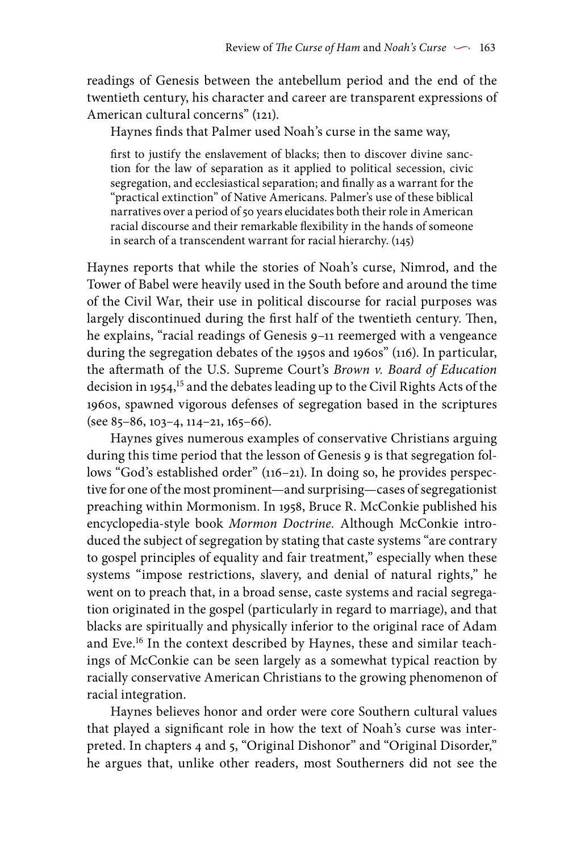readings of Genesis between the antebellum period and the end of the twentieth century, his character and career are transparent expressions of American cultural concerns" (121).

Haynes finds that Palmer used Noah's curse in the same way,

first to justify the enslavement of blacks; then to discover divine sanction for the law of separation as it applied to political secession, civic segregation, and ecclesiastical separation; and finally as a warrant for the "practical extinction" of Native Americans. Palmer's use of these biblical narratives over a period of 50 years elucidates both their role in American racial discourse and their remarkable flexibility in the hands of someone in search of a transcendent warrant for racial hierarchy. (145)

Haynes reports that while the stories of Noah's curse, Nimrod, and the Tower of Babel were heavily used in the South before and around the time of the Civil War, their use in political discourse for racial purposes was largely discontinued during the first half of the twentieth century. Then, he explains, "racial readings of Genesis 9–11 reemerged with a vengeance during the segregation debates of the 1950s and 1960s" (116). In particular, the aftermath of the U.S. Supreme Court's *Brown v. Board of Education* decision in 1954,15 and the debates leading up to the Civil Rights Acts of the 1960s, spawned vigorous defenses of segregation based in the scriptures (see 85–86, 103–4, 114–21, 165–66).

Haynes gives numerous examples of conservative Christians arguing during this time period that the lesson of Genesis 9 is that segregation follows "God's established order" (116–21). In doing so, he provides perspective for one of the most prominent—and surprising—cases of segregationist preaching within Mormonism. In 1958, Bruce R. McConkie published his encyclopedia-style book *Mormon Doctrine.* Although McConkie introduced the subject of segregation by stating that caste systems "are contrary to gospel principles of equality and fair treatment," especially when these systems "impose restrictions, slavery, and denial of natural rights," he went on to preach that, in a broad sense, caste systems and racial segregation originated in the gospel (particularly in regard to marriage), and that blacks are spiritually and physically inferior to the original race of Adam and Eve.<sup>16</sup> In the context described by Haynes, these and similar teachings of McConkie can be seen largely as a somewhat typical reaction by racially conservative American Christians to the growing phenomenon of racial integration.

Haynes believes honor and order were core Southern cultural values that played a significant role in how the text of Noah's curse was interpreted. In chapters 4 and 5, "Original Dishonor" and "Original Disorder," he argues that, unlike other readers, most Southerners did not see the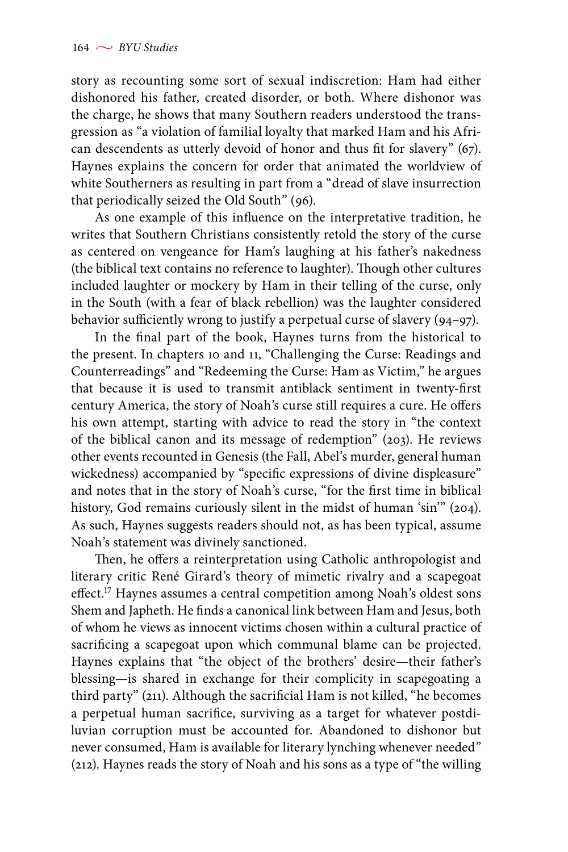story as recounting some sort of sexual indiscretion: Ham had either dishonored his father, created disorder, or both. Where dishonor was the charge, he shows that many Southern readers understood the transgression as "a violation of familial loyalty that marked Ham and his African descendents as utterly devoid of honor and thus fit for slavery" (67). Haynes explains the concern for order that animated the worldview of white Southerners as resulting in part from a "dread of slave insurrection that periodically seized the Old South" (96).

As one example of this influence on the interpretative tradition, he writes that Southern Christians consistently retold the story of the curse as centered on vengeance for Ham's laughing at his father's nakedness (the biblical text contains no reference to laughter). Though other cultures included laughter or mockery by Ham in their telling of the curse, only in the South (with a fear of black rebellion) was the laughter considered behavior sufficiently wrong to justify a perpetual curse of slavery (94–97).

In the final part of the book, Haynes turns from the historical to the present. In chapters 10 and 11, "Challenging the Curse: Readings and Counterreadings" and "Redeeming the Curse: Ham as Victim," he argues that because it is used to transmit antiblack sentiment in twenty-first century America, the story of Noah's curse still requires a cure. He offers his own attempt, starting with advice to read the story in "the context of the biblical canon and its message of redemption" (203). He reviews other events recounted in Genesis (the Fall, Abel's murder, general human wickedness) accompanied by "specific expressions of divine displeasure" and notes that in the story of Noah's curse, "for the first time in biblical history, God remains curiously silent in the midst of human 'sin'" (204). As such, Haynes suggests readers should not, as has been typical, assume Noah's statement was divinely sanctioned.

Then, he offers a reinterpretation using Catholic anthropologist and literary critic René Girard's theory of mimetic rivalry and a scapegoat effect.17 Haynes assumes a central competition among Noah's oldest sons Shem and Japheth. He finds a canonical link between Ham and Jesus, both of whom he views as innocent victims chosen within a cultural practice of sacrificing a scapegoat upon which communal blame can be projected. Haynes explains that "the object of the brothers' desire—their father's blessing—is shared in exchange for their complicity in scapegoating a third party" (211). Although the sacrificial Ham is not killed, "he becomes a perpetual human sacrifice, surviving as a target for whatever postdiluvian corruption must be accounted for. Abandoned to dishonor but never consumed, Ham is available for literary lynching whenever needed" (212). Haynes reads the story of Noah and his sons as a type of "the willing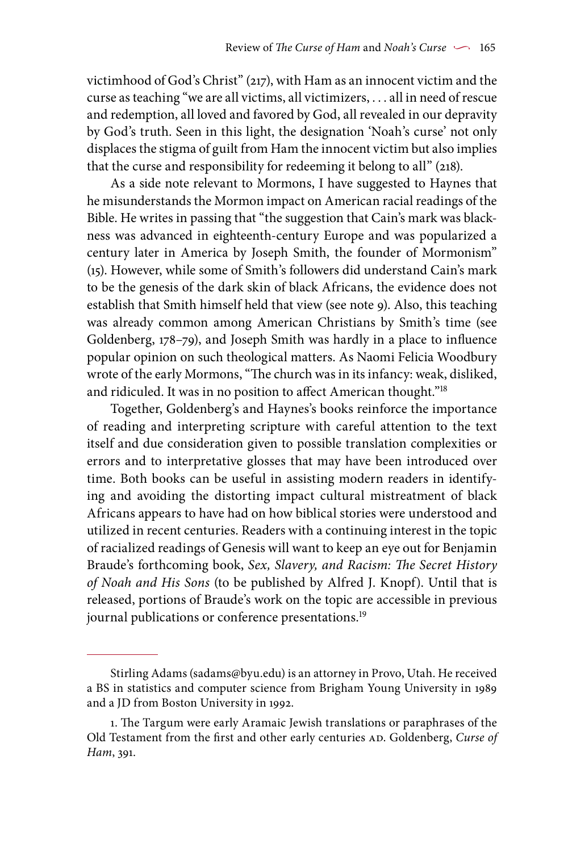victimhood of God's Christ" (217), with Ham as an innocent victim and the curse as teaching "we are all victims, all victimizers, . . . all in need of rescue and redemption, all loved and favored by God, all revealed in our depravity by God's truth. Seen in this light, the designation 'Noah's curse' not only displaces the stigma of guilt from Ham the innocent victim but also implies that the curse and responsibility for redeeming it belong to all" (218).

As a side note relevant to Mormons, I have suggested to Haynes that he misunderstands the Mormon impact on American racial readings of the Bible. He writes in passing that "the suggestion that Cain's mark was blackness was advanced in eighteenth-century Europe and was popularized a century later in America by Joseph Smith, the founder of Mormonism" (15). However, while some of Smith's followers did understand Cain's mark to be the genesis of the dark skin of black Africans, the evidence does not establish that Smith himself held that view (see note 9). Also, this teaching was already common among American Christians by Smith's time (see Goldenberg, 178–79), and Joseph Smith was hardly in a place to influence popular opinion on such theological matters. As Naomi Felicia Woodbury wrote of the early Mormons, "The church was in its infancy: weak, disliked, and ridiculed. It was in no position to affect American thought."18

Together, Goldenberg's and Haynes's books reinforce the importance of reading and interpreting scripture with careful attention to the text itself and due consideration given to possible translation complexities or errors and to interpretative glosses that may have been introduced over time. Both books can be useful in assisting modern readers in identifying and avoiding the distorting impact cultural mistreatment of black Africans appears to have had on how biblical stories were understood and utilized in recent centuries. Readers with a continuing interest in the topic of racialized readings of Genesis will want to keep an eye out for Benjamin Braude's forthcoming book, *Sex, Slavery, and Racism: The Secret History of Noah and His Sons* (to be published by Alfred J. Knopf). Until that is released, portions of Braude's work on the topic are accessible in previous journal publications or conference presentations.<sup>19</sup>

Stirling Adams (sadams@byu.edu) is an attorney in Provo, Utah. He received a BS in statistics and computer science from Brigham Young University in 1989 and a JD from Boston University in 1992.

<sup>1.</sup> The Targum were early Aramaic Jewish translations or paraphrases of the Old Testament from the first and other early centuries AD. Goldenberg, Curse of *Ham*, 391.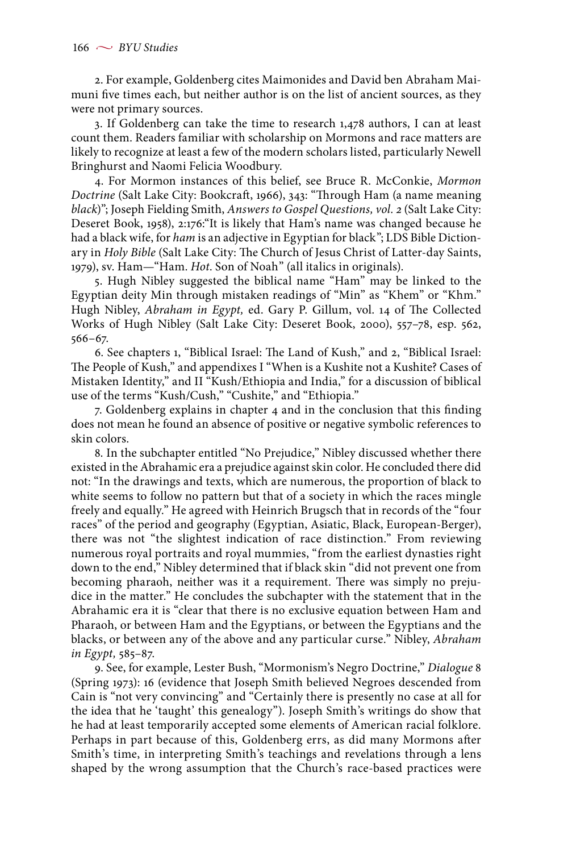2. For example, Goldenberg cites Maimonides and David ben Abraham Maimuni five times each, but neither author is on the list of ancient sources, as they were not primary sources.

3. If Goldenberg can take the time to research 1,478 authors, I can at least count them. Readers familiar with scholarship on Mormons and race matters are likely to recognize at least a few of the modern scholars listed, particularly Newell Bringhurst and Naomi Felicia Woodbury.

4. For Mormon instances of this belief, see Bruce R. McConkie, *Mormon Doctrine* (Salt Lake City: Bookcraft, 1966), 343: "Through Ham (a name meaning *black*)"; Joseph Fielding Smith, *Answers to Gospel Questions, vol. 2* (Salt Lake City: Deseret Book, 1958), 2:176:"It is likely that Ham's name was changed because he had a black wife, for *ham* is an adjective in Egyptian for black"; LDS Bible Dictionary in *Holy Bible* (Salt Lake City: The Church of Jesus Christ of Latter-day Saints, 1979), sv. Ham—"Ham. *Hot*. Son of Noah" (all italics in originals).

5. Hugh Nibley suggested the biblical name "Ham" may be linked to the Egyptian deity Min through mistaken readings of "Min" as "Khem" or "Khm." Hugh Nibley, *Abraham in Egypt,* ed. Gary P. Gillum, vol. 14 of The Collected Works of Hugh Nibley (Salt Lake City: Deseret Book, 2000), 557–78, esp. 562, 566–67.

6. See chapters 1, "Biblical Israel: The Land of Kush," and 2, "Biblical Israel: The People of Kush," and appendixes I "When is a Kushite not a Kushite? Cases of Mistaken Identity," and II "Kush/Ethiopia and India," for a discussion of biblical use of the terms "Kush/Cush," "Cushite," and "Ethiopia."

7. Goldenberg explains in chapter 4 and in the conclusion that this finding does not mean he found an absence of positive or negative symbolic references to skin colors.

8. In the subchapter entitled "No Prejudice," Nibley discussed whether there existed in the Abrahamic era a prejudice against skin color. He concluded there did not: "In the drawings and texts, which are numerous, the proportion of black to white seems to follow no pattern but that of a society in which the races mingle freely and equally." He agreed with Heinrich Brugsch that in records of the "four races" of the period and geography (Egyptian, Asiatic, Black, European-Berger), there was not "the slightest indication of race distinction." From reviewing numerous royal portraits and royal mummies, "from the earliest dynasties right down to the end," Nibley determined that if black skin "did not prevent one from becoming pharaoh, neither was it a requirement. There was simply no prejudice in the matter." He concludes the subchapter with the statement that in the Abrahamic era it is "clear that there is no exclusive equation between Ham and Pharaoh, or between Ham and the Egyptians, or between the Egyptians and the blacks, or between any of the above and any particular curse." Nibley, *Abraham in Egypt,* 585–87.

9. See, for example, Lester Bush, "Mormonism's Negro Doctrine," *Dialogue* 8 (Spring 1973): 16 (evidence that Joseph Smith believed Negroes descended from Cain is "not very convincing" and "Certainly there is presently no case at all for the idea that he 'taught' this genealogy"). Joseph Smith's writings do show that he had at least temporarily accepted some elements of American racial folklore. Perhaps in part because of this, Goldenberg errs, as did many Mormons after Smith's time, in interpreting Smith's teachings and revelations through a lens shaped by the wrong assumption that the Church's race-based practices were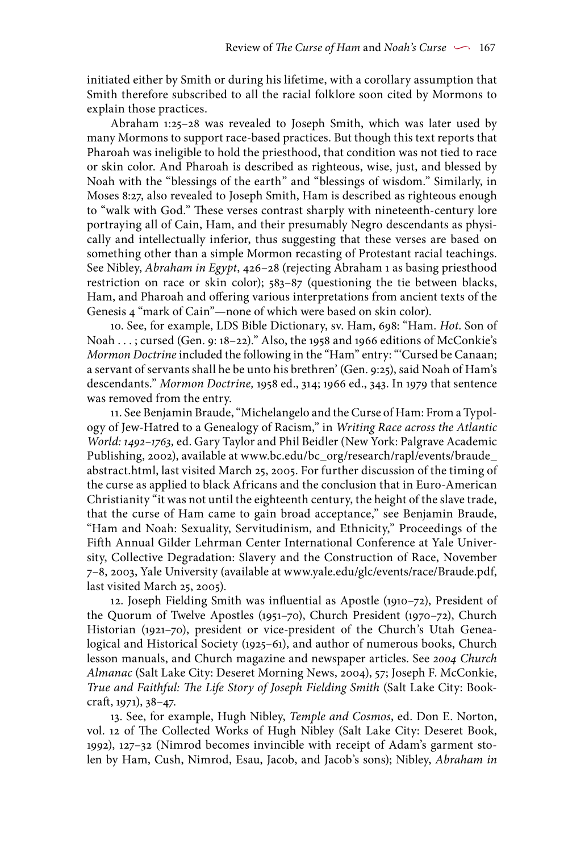initiated either by Smith or during his lifetime, with a corollary assumption that Smith therefore subscribed to all the racial folklore soon cited by Mormons to explain those practices.

Abraham 1:25–28 was revealed to Joseph Smith, which was later used by many Mormons to support race-based practices. But though this text reports that Pharoah was ineligible to hold the priesthood, that condition was not tied to race or skin color. And Pharoah is described as righteous, wise, just, and blessed by Noah with the "blessings of the earth" and "blessings of wisdom." Similarly, in Moses 8:27, also revealed to Joseph Smith, Ham is described as righteous enough to "walk with God." These verses contrast sharply with nineteenth-century lore portraying all of Cain, Ham, and their presumably Negro descendants as physically and intellectually inferior, thus suggesting that these verses are based on something other than a simple Mormon recasting of Protestant racial teachings. See Nibley, *Abraham in Egypt*, 426–28 (rejecting Abraham 1 as basing priesthood restriction on race or skin color); 583–87 (questioning the tie between blacks, Ham, and Pharoah and offering various interpretations from ancient texts of the Genesis 4 "mark of Cain"—none of which were based on skin color).

10. See, for example, LDS Bible Dictionary, sv. Ham, 698: "Ham. *Hot*. Son of Noah . . . ; cursed (Gen. 9: 18–22)." Also, the 1958 and 1966 editions of McConkie's *Mormon Doctrine* included the following in the "Ham" entry: "'Cursed be Canaan; a servant of servants shall he be unto his brethren' (Gen. 9:25), said Noah of Ham's descendants." *Mormon Doctrine,* 1958 ed., 314; 1966 ed., 343. In 1979 that sentence was removed from the entry.

11. See Benjamin Braude, "Michelangelo and the Curse of Ham: From a Typology of Jew-Hatred to a Genealogy of Racism," in *Writing Race across the Atlantic World: 1492–1763,* ed. Gary Taylor and Phil Beidler (New York: Palgrave Academic Publishing, 2002), available at www.bc.edu/bc\_org/research/rapl/events/braude\_ abstract.html, last visited March 25, 2005. For further discussion of the timing of the curse as applied to black Africans and the conclusion that in Euro-American Christianity "it was not until the eighteenth century, the height of the slave trade, that the curse of Ham came to gain broad acceptance," see Benjamin Braude, "Ham and Noah: Sexuality, Servitudinism, and Ethnicity," Proceedings of the Fifth Annual Gilder Lehrman Center International Conference at Yale University, Collective Degradation: Slavery and the Construction of Race, November 7–8, 2003, Yale University (available at www.yale.edu/glc/events/race/Braude.pdf, last visited March 25, 2005).

12. Joseph Fielding Smith was influential as Apostle (1910–72), President of the Quorum of Twelve Apostles (1951–70), Church President (1970–72), Church Historian (1921–70), president or vice-president of the Church's Utah Genealogical and Historical Society (1925–61), and author of numerous books, Church lesson manuals, and Church magazine and newspaper articles. See *2004 Church Almanac* (Salt Lake City: Deseret Morning News, 2004), 57; Joseph F. McConkie, *True and Faithful: The Life Story of Joseph Fielding Smith* (Salt Lake City: Bookcraft, 1971), 38–47.

13. See, for example, Hugh Nibley, *Temple and Cosmos*, ed. Don E. Norton, vol. 12 of The Collected Works of Hugh Nibley (Salt Lake City: Deseret Book, 1992), 127–32 (Nimrod becomes invincible with receipt of Adam's garment stolen by Ham, Cush, Nimrod, Esau, Jacob, and Jacob's sons); Nibley, *Abraham in*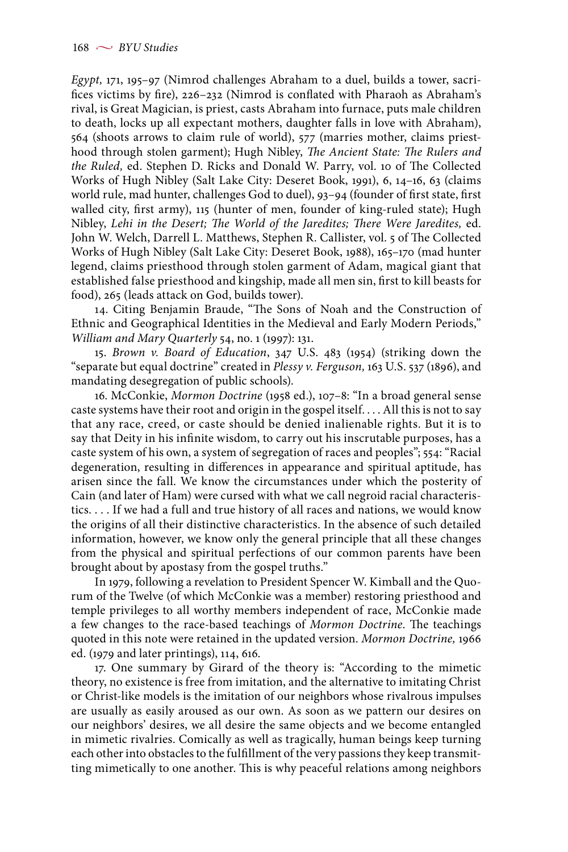*Egypt,* 171, 195–97 (Nimrod challenges Abraham to a duel, builds a tower, sacrifices victims by fire), 226–232 (Nimrod is conflated with Pharaoh as Abraham's rival, is Great Magician, is priest, casts Abraham into furnace, puts male children to death, locks up all expectant mothers, daughter falls in love with Abraham), 564 (shoots arrows to claim rule of world), 577 (marries mother, claims priesthood through stolen garment); Hugh Nibley, *The Ancient State: The Rulers and the Ruled,* ed. Stephen D. Ricks and Donald W. Parry, vol. 10 of The Collected Works of Hugh Nibley (Salt Lake City: Deseret Book, 1991), 6, 14–16, 63 (claims world rule, mad hunter, challenges God to duel), 93–94 (founder of first state, first walled city, first army), 115 (hunter of men, founder of king-ruled state); Hugh Nibley, *Lehi in the Desert; The World of the Jaredites; There Were Jaredites,* ed. John W. Welch, Darrell L. Matthews, Stephen R. Callister, vol. 5 of The Collected Works of Hugh Nibley (Salt Lake City: Deseret Book, 1988), 165–170 (mad hunter legend, claims priesthood through stolen garment of Adam, magical giant that established false priesthood and kingship, made all men sin, first to kill beasts for food), 265 (leads attack on God, builds tower).

14. Citing Benjamin Braude, "The Sons of Noah and the Construction of Ethnic and Geographical Identities in the Medieval and Early Modern Periods," *William and Mary Quarterly* 54, no. 1 (1997): 131.

15. *Brown v. Board of Education*, 347 U.S. 483 (1954) (striking down the "separate but equal doctrine" created in *Plessy v. Ferguson,* 163 U.S. 537 (1896), and mandating desegregation of public schools).

16. McConkie, *Mormon Doctrine* (1958 ed.), 107–8: "In a broad general sense caste systems have their root and origin in the gospel itself. . . . All this is not to say that any race, creed, or caste should be denied inalienable rights. But it is to say that Deity in his infinite wisdom, to carry out his inscrutable purposes, has a caste system of his own, a system of segregation of races and peoples"; 554: "Racial degeneration, resulting in differences in appearance and spiritual aptitude, has arisen since the fall. We know the circumstances under which the posterity of Cain (and later of Ham) were cursed with what we call negroid racial characteristics. . . . If we had a full and true history of all races and nations, we would know the origins of all their distinctive characteristics. In the absence of such detailed information, however, we know only the general principle that all these changes from the physical and spiritual perfections of our common parents have been brought about by apostasy from the gospel truths."

In 1979, following a revelation to President Spencer W. Kimball and the Quorum of the Twelve (of which McConkie was a member) restoring priesthood and temple privileges to all worthy members independent of race, McConkie made a few changes to the race-based teachings of *Mormon Doctrine*. The teachings quoted in this note were retained in the updated version. *Mormon Doctrine,* 1966 ed. (1979 and later printings), 114, 616.

17. One summary by Girard of the theory is: "According to the mimetic theory, no existence is free from imitation, and the alternative to imitating Christ or Christ-like models is the imitation of our neighbors whose rivalrous impulses are usually as easily aroused as our own. As soon as we pattern our desires on our neighbors' desires, we all desire the same objects and we become entangled in mimetic rivalries. Comically as well as tragically, human beings keep turning each other into obstacles to the fulfillment of the very passions they keep transmitting mimetically to one another. This is why peaceful relations among neighbors